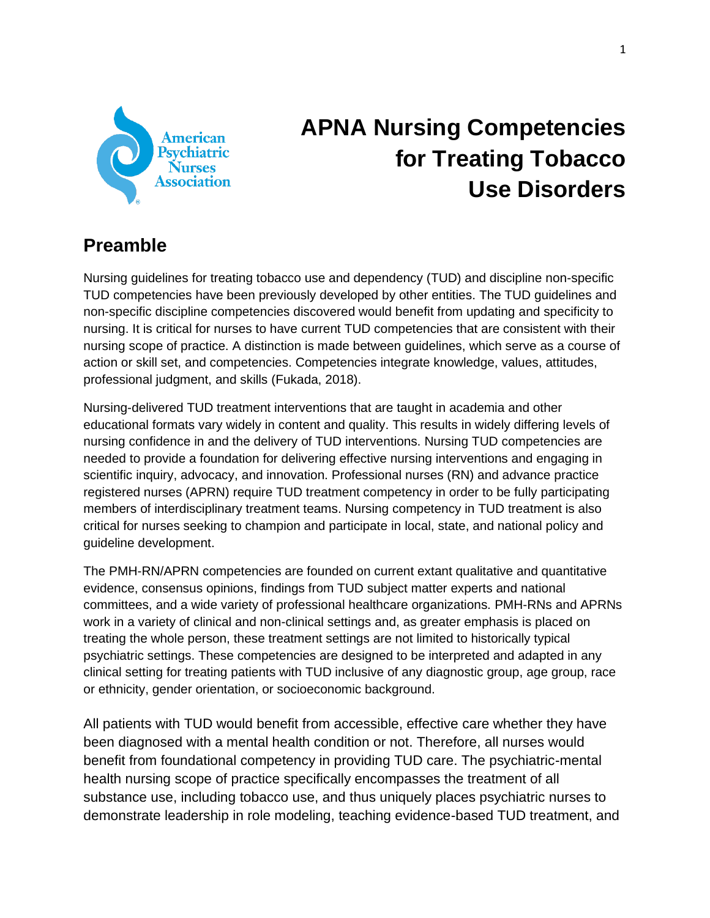

# **APNA Nursing Competencies for Treating Tobacco Use Disorders**

# **Preamble**

Nursing guidelines for treating tobacco use and dependency (TUD) and discipline non-specific TUD competencies have been previously developed by other entities. The TUD guidelines and non-specific discipline competencies discovered would benefit from updating and specificity to nursing. It is critical for nurses to have current TUD competencies that are consistent with their nursing scope of practice. A distinction is made between guidelines, which serve as a course of action or skill set, and competencies. Competencies integrate knowledge, values, attitudes, professional judgment, and skills (Fukada, 2018).

Nursing-delivered TUD treatment interventions that are taught in academia and other educational formats vary widely in content and quality. This results in widely differing levels of nursing confidence in and the delivery of TUD interventions. Nursing TUD competencies are needed to provide a foundation for delivering effective nursing interventions and engaging in scientific inquiry, advocacy, and innovation. Professional nurses (RN) and advance practice registered nurses (APRN) require TUD treatment competency in order to be fully participating members of interdisciplinary treatment teams. Nursing competency in TUD treatment is also critical for nurses seeking to champion and participate in local, state, and national policy and guideline development.

The PMH-RN/APRN competencies are founded on current extant qualitative and quantitative evidence, consensus opinions, findings from TUD subject matter experts and national committees, and a wide variety of professional healthcare organizations. PMH-RNs and APRNs work in a variety of clinical and non-clinical settings and, as greater emphasis is placed on treating the whole person, these treatment settings are not limited to historically typical psychiatric settings. These competencies are designed to be interpreted and adapted in any clinical setting for treating patients with TUD inclusive of any diagnostic group, age group, race or ethnicity, gender orientation, or socioeconomic background.

All patients with TUD would benefit from accessible, effective care whether they have been diagnosed with a mental health condition or not. Therefore, all nurses would benefit from foundational competency in providing TUD care. The psychiatric-mental health nursing scope of practice specifically encompasses the treatment of all substance use, including tobacco use, and thus uniquely places psychiatric nurses to demonstrate leadership in role modeling, teaching evidence-based TUD treatment, and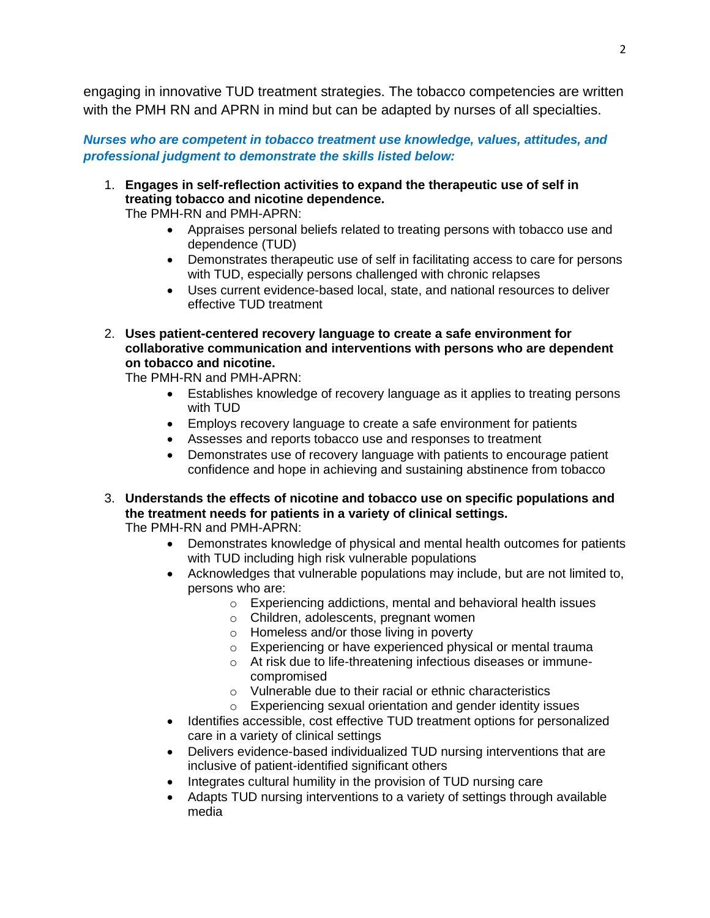engaging in innovative TUD treatment strategies. The tobacco competencies are written with the PMH RN and APRN in mind but can be adapted by nurses of all specialties.

*Nurses who are competent in tobacco treatment use knowledge, values, attitudes, and professional judgment to demonstrate the skills listed below:*

1. **Engages in self-reflection activities to expand the therapeutic use of self in treating tobacco and nicotine dependence.** 

The PMH-RN and PMH-APRN:

- Appraises personal beliefs related to treating persons with tobacco use and dependence (TUD)
- Demonstrates therapeutic use of self in facilitating access to care for persons with TUD, especially persons challenged with chronic relapses
- Uses current evidence-based local, state, and national resources to deliver effective TUD treatment
- 2. **Uses patient-centered recovery language to create a safe environment for collaborative communication and interventions with persons who are dependent on tobacco and nicotine.**

The PMH-RN and PMH-APRN:

- Establishes knowledge of recovery language as it applies to treating persons with TUD
- Employs recovery language to create a safe environment for patients
- Assesses and reports tobacco use and responses to treatment
- Demonstrates use of recovery language with patients to encourage patient confidence and hope in achieving and sustaining abstinence from tobacco
- 3. **Understands the effects of nicotine and tobacco use on specific populations and the treatment needs for patients in a variety of clinical settings.**  The PMH-RN and PMH-APRN:
	- Demonstrates knowledge of physical and mental health outcomes for patients with TUD including high risk vulnerable populations
	- Acknowledges that vulnerable populations may include, but are not limited to, persons who are:
		- o Experiencing addictions, mental and behavioral health issues
		- o Children, adolescents, pregnant women
		- o Homeless and/or those living in poverty
		- o Experiencing or have experienced physical or mental trauma
		- o At risk due to life-threatening infectious diseases or immunecompromised
		- o Vulnerable due to their racial or ethnic characteristics
		- o Experiencing sexual orientation and gender identity issues
	- Identifies accessible, cost effective TUD treatment options for personalized care in a variety of clinical settings
	- Delivers evidence-based individualized TUD nursing interventions that are inclusive of patient-identified significant others
	- Integrates cultural humility in the provision of TUD nursing care
	- Adapts TUD nursing interventions to a variety of settings through available media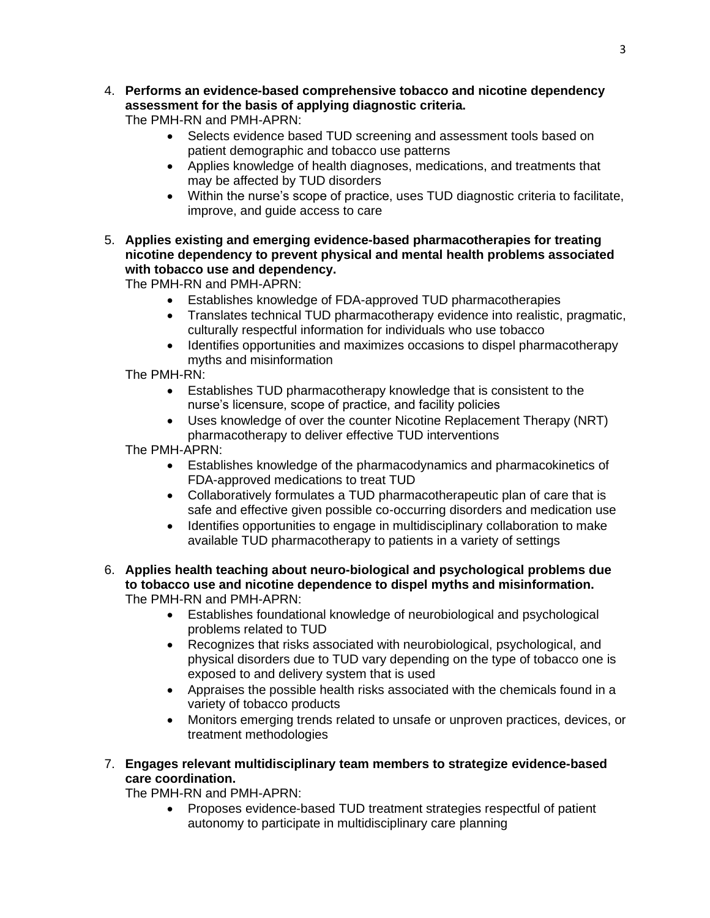4. **Performs an evidence-based comprehensive tobacco and nicotine dependency assessment for the basis of applying diagnostic criteria.** 

The PMH-RN and PMH-APRN:

- Selects evidence based TUD screening and assessment tools based on patient demographic and tobacco use patterns
- Applies knowledge of health diagnoses, medications, and treatments that may be affected by TUD disorders
- Within the nurse's scope of practice, uses TUD diagnostic criteria to facilitate, improve, and guide access to care
- 5. **Applies existing and emerging evidence-based pharmacotherapies for treating nicotine dependency to prevent physical and mental health problems associated with tobacco use and dependency.**

The PMH-RN and PMH-APRN:

- Establishes knowledge of FDA-approved TUD pharmacotherapies
- Translates technical TUD pharmacotherapy evidence into realistic, pragmatic, culturally respectful information for individuals who use tobacco
- Identifies opportunities and maximizes occasions to dispel pharmacotherapy myths and misinformation

The PMH-RN:

- Establishes TUD pharmacotherapy knowledge that is consistent to the nurse's licensure, scope of practice, and facility policies
- Uses knowledge of over the counter Nicotine Replacement Therapy (NRT) pharmacotherapy to deliver effective TUD interventions

The PMH-APRN:

- Establishes knowledge of the pharmacodynamics and pharmacokinetics of FDA-approved medications to treat TUD
- Collaboratively formulates a TUD pharmacotherapeutic plan of care that is safe and effective given possible co-occurring disorders and medication use
- Identifies opportunities to engage in multidisciplinary collaboration to make available TUD pharmacotherapy to patients in a variety of settings

### 6. **Applies health teaching about neuro-biological and psychological problems due to tobacco use and nicotine dependence to dispel myths and misinformation.**  The PMH-RN and PMH-APRN:

- Establishes foundational knowledge of neurobiological and psychological problems related to TUD
- Recognizes that risks associated with neurobiological, psychological, and physical disorders due to TUD vary depending on the type of tobacco one is exposed to and delivery system that is used
- Appraises the possible health risks associated with the chemicals found in a variety of tobacco products
- Monitors emerging trends related to unsafe or unproven practices, devices, or treatment methodologies

## 7. **Engages relevant multidisciplinary team members to strategize evidence-based care coordination.**

The PMH-RN and PMH-APRN:

• Proposes evidence-based TUD treatment strategies respectful of patient autonomy to participate in multidisciplinary care planning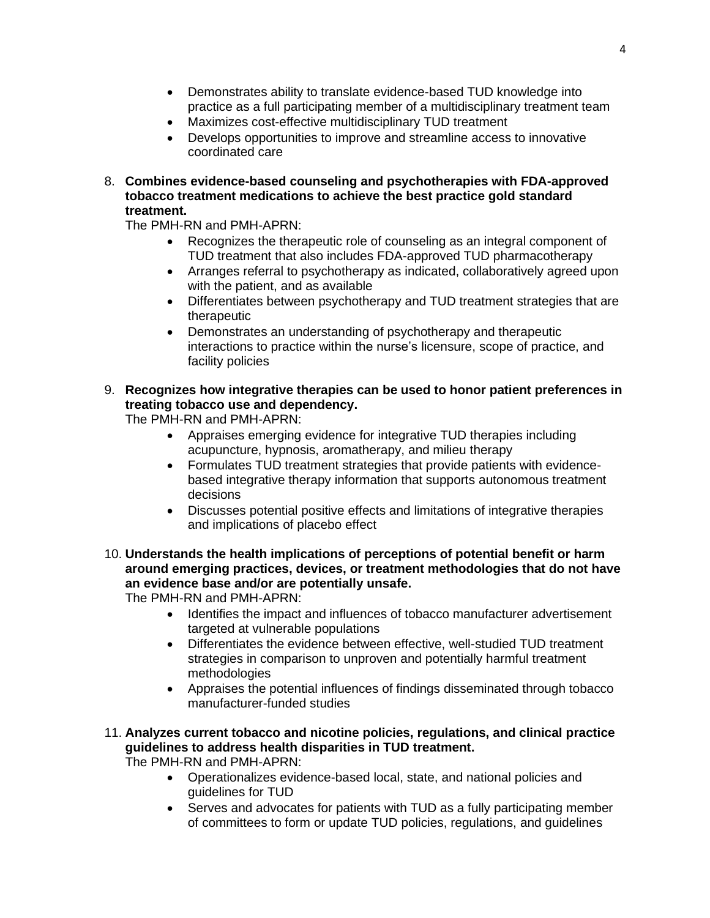- Demonstrates ability to translate evidence-based TUD knowledge into practice as a full participating member of a multidisciplinary treatment team
- Maximizes cost-effective multidisciplinary TUD treatment
- Develops opportunities to improve and streamline access to innovative coordinated care
- 8. **Combines evidence-based counseling and psychotherapies with FDA-approved tobacco treatment medications to achieve the best practice gold standard treatment.**

The PMH-RN and PMH-APRN:

- Recognizes the therapeutic role of counseling as an integral component of TUD treatment that also includes FDA-approved TUD pharmacotherapy
- Arranges referral to psychotherapy as indicated, collaboratively agreed upon with the patient, and as available
- Differentiates between psychotherapy and TUD treatment strategies that are therapeutic
- Demonstrates an understanding of psychotherapy and therapeutic interactions to practice within the nurse's licensure, scope of practice, and facility policies
- 9. **Recognizes how integrative therapies can be used to honor patient preferences in treating tobacco use and dependency.**

The PMH-RN and PMH-APRN:

- Appraises emerging evidence for integrative TUD therapies including acupuncture, hypnosis, aromatherapy, and milieu therapy
- Formulates TUD treatment strategies that provide patients with evidencebased integrative therapy information that supports autonomous treatment decisions
- Discusses potential positive effects and limitations of integrative therapies and implications of placebo effect

10. **Understands the health implications of perceptions of potential benefit or harm around emerging practices, devices, or treatment methodologies that do not have an evidence base and/or are potentially unsafe.**

The PMH-RN and PMH-APRN:

- Identifies the impact and influences of tobacco manufacturer advertisement targeted at vulnerable populations
- Differentiates the evidence between effective, well-studied TUD treatment strategies in comparison to unproven and potentially harmful treatment methodologies
- Appraises the potential influences of findings disseminated through tobacco manufacturer-funded studies
- 11. **Analyzes current tobacco and nicotine policies, regulations, and clinical practice guidelines to address health disparities in TUD treatment.**

The PMH-RN and PMH-APRN:

- Operationalizes evidence-based local, state, and national policies and guidelines for TUD
- Serves and advocates for patients with TUD as a fully participating member of committees to form or update TUD policies, regulations, and guidelines